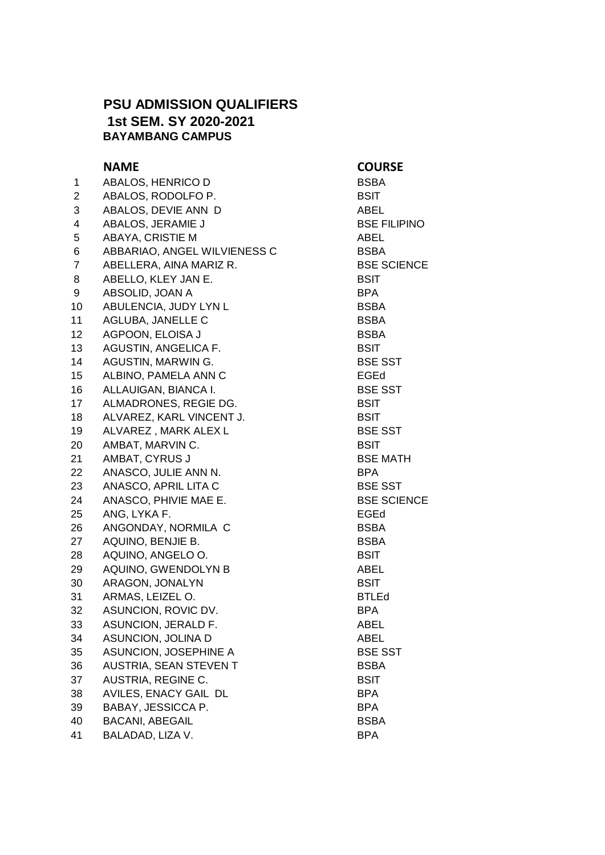## **PSU ADMISSION QUALIFIERS 1st SEM. SY 2020-2021 BAYAMBANG CAMPUS**

## **NAME COURSE**

| 1  | ABALOS, HENRICO D            | <b>BSBA</b>  |
|----|------------------------------|--------------|
| 2  | ABALOS, RODOLFO P.           | <b>BSIT</b>  |
| 3  | ABALOS, DEVIE ANN D          | ABEL         |
| 4  | ABALOS, JERAMIE J            | <b>BSEF</b>  |
| 5  | <b>ABAYA, CRISTIE M</b>      | ABEL         |
| 6  | ABBARIAO, ANGEL WILVIENESS C | <b>BSBA</b>  |
| 7  | ABELLERA, AINA MARIZ R.      | <b>BSES</b>  |
| 8  | ABELLO, KLEY JAN E.          | BSIT         |
| 9  | ABSOLID, JOAN A              | BPA          |
| 10 | ABULENCIA, JUDY LYN L        | <b>BSBA</b>  |
| 11 | AGLUBA, JANELLE C            | <b>BSBA</b>  |
| 12 | AGPOON, ELOISA J             | <b>BSBA</b>  |
| 13 | AGUSTIN, ANGELICA F.         | <b>BSIT</b>  |
| 14 | AGUSTIN, MARWIN G.           | <b>BSES</b>  |
| 15 | ALBINO, PAMELA ANN C         | EGEd         |
| 16 | ALLAUIGAN, BIANCA I.         | <b>BSES</b>  |
| 17 | ALMADRONES, REGIE DG.        | <b>BSIT</b>  |
| 18 | ALVAREZ, KARL VINCENT J.     | <b>BSIT</b>  |
| 19 | ALVAREZ, MARK ALEX L         | <b>BSES</b>  |
| 20 | AMBAT, MARVIN C.             | <b>BSIT</b>  |
| 21 | AMBAT, CYRUS J               | <b>BSE M</b> |
| 22 | ANASCO, JULIE ANN N.         | <b>BPA</b>   |
| 23 | ANASCO, APRIL LITA C         | <b>BSES</b>  |
| 24 | ANASCO, PHIVIE MAE E.        | <b>BSES</b>  |
| 25 | ANG, LYKA F.                 | EGEd         |
| 26 | ANGONDAY, NORMILA C          | <b>BSBA</b>  |
| 27 | AQUINO, BENJIE B.            | <b>BSBA</b>  |
| 28 | AQUINO, ANGELO O.            | BSIT         |
| 29 | AQUINO, GWENDOLYN B          | ABEL         |
| 30 | ARAGON, JONALYN              | <b>BSIT</b>  |
| 31 | ARMAS, LEIZEL O.             | <b>BTLEd</b> |
| 32 | ASUNCION, ROVIC DV.          | <b>BPA</b>   |
| 33 | ASUNCION, JERALD F.          | <b>ABEL</b>  |
| 34 | ASUNCION, JOLINA D           | ABEL         |
| 35 | ASUNCION, JOSEPHINE A        | <b>BSES</b>  |
| 36 | AUSTRIA, SEAN STEVEN T       | <b>BSBA</b>  |
| 37 | AUSTRIA, REGINE C.           | <b>BSIT</b>  |
| 38 | AVILES, ENACY GAIL DL        | <b>BPA</b>   |
| 39 | BABAY, JESSICCA P.           | <b>BPA</b>   |
| 40 | <b>BACANI, ABEGAIL</b>       | <b>BSBA</b>  |
| 41 | BALADAD, LIZA V.             | <b>BPA</b>   |

**BSE FILIPINO BSE SCIENCE BSE SST BSE SST BSE SST BSE MATH BSE SST BSE SCIENCE BSE SST**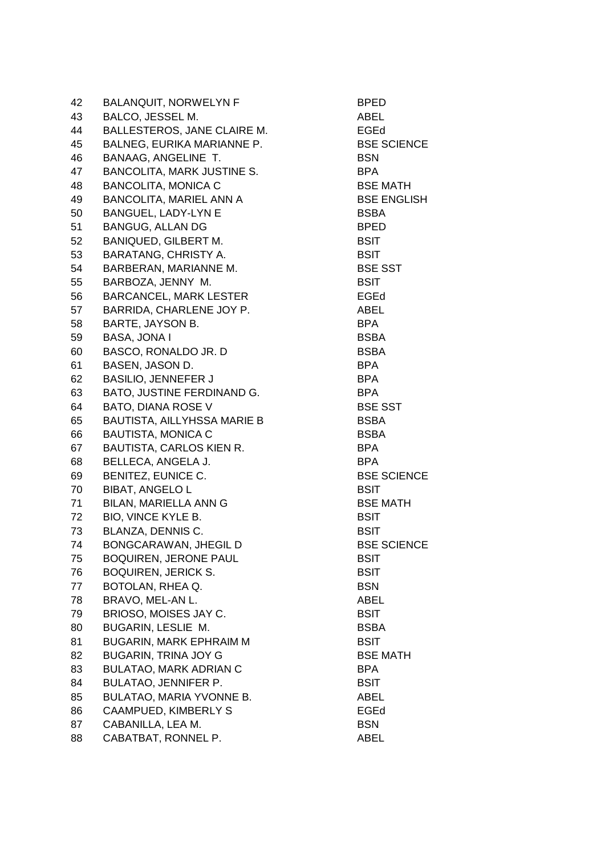| 42 | <b>BALANQUIT, NORWELYN F</b>       | <b>BPED</b>        |
|----|------------------------------------|--------------------|
| 43 | BALCO, JESSEL M.                   | ABEL               |
| 44 | BALLESTEROS, JANE CLAIRE M.        | EGEd               |
| 45 | BALNEG, EURIKA MARIANNE P.         | <b>BSE SCIENCE</b> |
| 46 | <b>BANAAG, ANGELINE T.</b>         | <b>BSN</b>         |
| 47 | <b>BANCOLITA, MARK JUSTINE S.</b>  | <b>BPA</b>         |
| 48 | <b>BANCOLITA, MONICA C</b>         | <b>BSE MATH</b>    |
| 49 | <b>BANCOLITA, MARIEL ANN A</b>     | <b>BSE ENGLISH</b> |
| 50 | BANGUEL, LADY-LYN E                | <b>BSBA</b>        |
| 51 | <b>BANGUG, ALLAN DG</b>            | <b>BPED</b>        |
| 52 | <b>BANIQUED, GILBERT M.</b>        | <b>BSIT</b>        |
| 53 | <b>BARATANG, CHRISTY A.</b>        | <b>BSIT</b>        |
| 54 | BARBERAN, MARIANNE M.              | <b>BSE SST</b>     |
| 55 | BARBOZA, JENNY M.                  | <b>BSIT</b>        |
| 56 | <b>BARCANCEL, MARK LESTER</b>      | EGEd               |
| 57 | BARRIDA, CHARLENE JOY P.           | ABEL               |
| 58 | BARTE, JAYSON B.                   | <b>BPA</b>         |
| 59 | BASA, JONA I                       | <b>BSBA</b>        |
| 60 | BASCO, RONALDO JR. D               | <b>BSBA</b>        |
| 61 | BASEN, JASON D.                    | <b>BPA</b>         |
| 62 | <b>BASILIO, JENNEFER J</b>         | BPA                |
| 63 | BATO, JUSTINE FERDINAND G.         | <b>BPA</b>         |
| 64 | BATO, DIANA ROSE V                 | <b>BSE SST</b>     |
| 65 | <b>BAUTISTA, AILLYHSSA MARIE B</b> | <b>BSBA</b>        |
| 66 | <b>BAUTISTA, MONICA C</b>          | <b>BSBA</b>        |
| 67 | <b>BAUTISTA, CARLOS KIEN R.</b>    | <b>BPA</b>         |
| 68 | BELLECA, ANGELA J.                 | <b>BPA</b>         |
| 69 | BENITEZ, EUNICE C.                 | <b>BSE SCIENCE</b> |
| 70 | <b>BIBAT, ANGELO L</b>             | <b>BSIT</b>        |
| 71 | <b>BILAN, MARIELLA ANN G</b>       | <b>BSE MATH</b>    |
| 72 | BIO, VINCE KYLE B.                 | <b>BSIT</b>        |
| 73 | BLANZA, DENNIS C.                  | <b>BSIT</b>        |
| 74 | BONGCARAWAN, JHEGIL D              | <b>BSE SCIENCE</b> |
| 75 | <b>BOQUIREN, JERONE PAUL</b>       | <b>BSIT</b>        |
| 76 | <b>BOQUIREN, JERICK S.</b>         | <b>BSIT</b>        |
| 77 | BOTOLAN, RHEA Q.                   | <b>BSN</b>         |
| 78 | BRAVO, MEL-AN L.                   | ABEL               |
| 79 | BRIOSO, MOISES JAY C.              | <b>BSIT</b>        |
| 80 | BUGARIN, LESLIE M.                 | <b>BSBA</b>        |
| 81 | BUGARIN, MARK EPHRAIM M            | <b>BSIT</b>        |
| 82 | <b>BUGARIN, TRINA JOY G</b>        | <b>BSE MATH</b>    |
| 83 | <b>BULATAO, MARK ADRIAN C</b>      | <b>BPA</b>         |
| 84 | <b>BULATAO, JENNIFER P.</b>        | <b>BSIT</b>        |
| 85 | <b>BULATAO, MARIA YVONNE B.</b>    | ABEL               |
| 86 | <b>CAAMPUED, KIMBERLY S</b>        | <b>EGEd</b>        |
| 87 | CABANILLA, LEA M.                  | <b>BSN</b>         |
| 88 | CABATBAT, RONNEL P.                | <b>ABEL</b>        |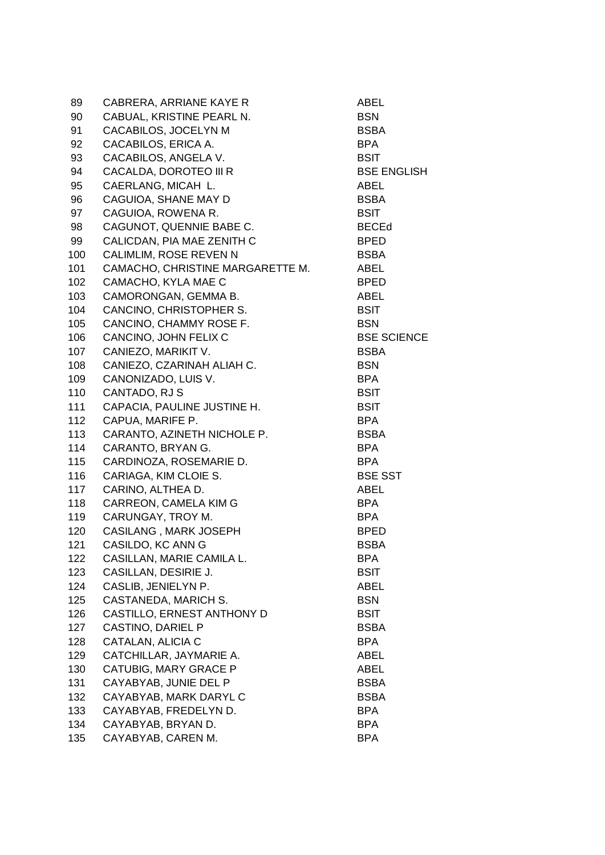| 89  | CABRERA, ARRIANE KAYE R          | ABEL               |
|-----|----------------------------------|--------------------|
| 90  | CABUAL, KRISTINE PEARL N.        | <b>BSN</b>         |
| 91  | CACABILOS, JOCELYN M             | <b>BSBA</b>        |
| 92  | CACABILOS, ERICA A.              | <b>BPA</b>         |
| 93  | CACABILOS, ANGELA V.             | <b>BSIT</b>        |
| 94  | CACALDA, DOROTEO III R           | <b>BSE ENGLISH</b> |
| 95  | CAERLANG, MICAH L.               | ABEL               |
| 96  | CAGUIOA, SHANE MAY D             | <b>BSBA</b>        |
| 97  | CAGUIOA, ROWENA R.               | <b>BSIT</b>        |
| 98  | CAGUNOT, QUENNIE BABE C.         | <b>BECEd</b>       |
| 99  | CALICDAN, PIA MAE ZENITH C       | <b>BPED</b>        |
| 100 | CALIMLIM, ROSE REVEN N           | <b>BSBA</b>        |
| 101 | CAMACHO, CHRISTINE MARGARETTE M. | ABEL               |
| 102 | CAMACHO, KYLA MAE C              | <b>BPED</b>        |
| 103 | CAMORONGAN, GEMMA B.             | ABEL               |
| 104 | CANCINO, CHRISTOPHER S.          | <b>BSIT</b>        |
| 105 | CANCINO, CHAMMY ROSE F.          | <b>BSN</b>         |
| 106 | CANCINO, JOHN FELIX C            | <b>BSE SCIENCE</b> |
| 107 | CANIEZO, MARIKIT V.              | <b>BSBA</b>        |
| 108 | CANIEZO, CZARINAH ALIAH C.       | <b>BSN</b>         |
| 109 | CANONIZADO, LUIS V.              | <b>BPA</b>         |
| 110 | CANTADO, RJ S                    | <b>BSIT</b>        |
| 111 | CAPACIA, PAULINE JUSTINE H.      | <b>BSIT</b>        |
| 112 | CAPUA, MARIFE P.                 | <b>BPA</b>         |
| 113 | CARANTO, AZINETH NICHOLE P.      | <b>BSBA</b>        |
| 114 | CARANTO, BRYAN G.                | <b>BPA</b>         |
| 115 | CARDINOZA, ROSEMARIE D.          | <b>BPA</b>         |
| 116 | CARIAGA, KIM CLOIE S.            | <b>BSE SST</b>     |
| 117 | CARINO, ALTHEA D.                | ABEL               |
| 118 | CARREON, CAMELA KIM G            | <b>BPA</b>         |
| 119 | CARUNGAY, TROY M.                | <b>BPA</b>         |
| 120 | <b>CASILANG, MARK JOSEPH</b>     | <b>BPED</b>        |
| 121 | CASILDO, KC ANN G                | <b>BSBA</b>        |
| 122 | CASILLAN, MARIE CAMILA L.        | <b>BPA</b>         |
| 123 | CASILLAN, DESIRIE J.             | <b>BSIT</b>        |
| 124 | CASLIB, JENIELYN P.              | ABEL               |
| 125 | CASTANEDA, MARICH S.             | <b>BSN</b>         |
| 126 | CASTILLO, ERNEST ANTHONY D       | <b>BSIT</b>        |
| 127 | CASTINO, DARIEL P                | <b>BSBA</b>        |
| 128 | CATALAN, ALICIA C                | <b>BPA</b>         |
| 129 | CATCHILLAR, JAYMARIE A.          | <b>ABEL</b>        |
| 130 | CATUBIG, MARY GRACE P            | ABEL               |
| 131 | CAYABYAB, JUNIE DEL P            | <b>BSBA</b>        |
| 132 | CAYABYAB, MARK DARYL C           | <b>BSBA</b>        |
| 133 | CAYABYAB, FREDELYN D.            | <b>BPA</b>         |
| 134 | CAYABYAB, BRYAN D.               | <b>BPA</b>         |
| 135 | CAYABYAB, CAREN M.               | <b>BPA</b>         |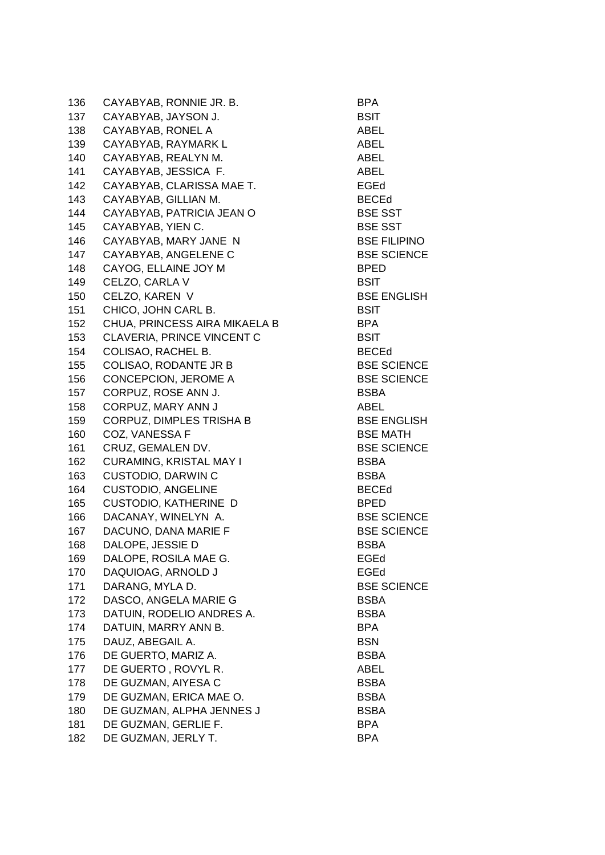136 CAYABYAB, RONNIE JR. B. BEA 137 CAYABYAB, JAYSON J. BSIT 138 CAYABYAB, RONEL A ABEL 139 CAYABYAB, RAYMARK L<br>ABEL 140 CAYABYAB, REALYN M. ABEL 141 CAYABYAB, JESSICA F. ABEL 142 CAYABYAB, CLARISSA MAE T. EGEd 143 CAYABYAB, GILLIAN M. BECEd 144 CAYABYAB, PATRICIA JEAN O BSE SST 145 CAYABYAB, YIEN C. BSE SST 146 CAYABYAB, MARY JANE N BSE FILIPINO 147 CAYABYAB, ANGELENE C<br>BSE SCIENCE 148 CAYOG, ELLAINE JOY M BPED 149 CELZO, CARLA V BSIT 150 CELZO, KAREN V BSE ENGLISH 151 CHICO, JOHN CARL B. BSIT 152 CHUA, PRINCESS AIRA MIKAELA B BPA 153 CLAVERIA, PRINCE VINCENT C<br>BSIT 154 COLISAO, RACHEL B. BECED 155 COLISAO, RODANTE JR B BSE SCIENCE 156 CONCEPCION, JEROME A BSE SCIENCE 157 CORPUZ, ROSE ANN J. BSBA 158 CORPUZ, MARY ANN J ABEL 159 CORPUZ, DIMPLES TRISHA B BSE ENGLISH 160 COZ, VANESSA F BSE MATH 161 CRUZ, GEMALEN DV. BSE SCIENCE 162 CURAMING, KRISTAL MAY I BSBA 163 CUSTODIO, DARWIN C<br>BSBA 164 CUSTODIO, ANGELINE BECED 165 CUSTODIO, KATHERINE D BPED 166 DACANAY, WINELYN A. BSE SCIENCE 167 DACUNO, DANA MARIE F BSE SCIENCE 168 DALOPE, JESSIE D BSBA 169 DALOPE, ROSILA MAE G. The research of the EGEd 170 DAQUIOAG, ARNOLD J EGEd 171 DARANG, MYLA D. BSE SCIENCE 172 DASCO, ANGELA MARIE G<br>BSBA 173 DATUIN, RODELIO ANDRES A. BSBA 174 DATUIN, MARRY ANN B. BPA 175 DAUZ, ABEGAIL A. BSN 176 DE GUERTO, MARIZ A. BSBA 177 DE GUERTO , ROVYL R. ABEL 178 DE GUZMAN, AIYESA C<br>BSBA 179 DE GUZMAN, ERICA MAE O. BSBA 180 DE GUZMAN, ALPHA JENNES JANA SARBA BSBA 181 DE GUZMAN, GERLIE F. SAN BORA BERA 182 DE GUZMAN, JERLY T. SAN BORA AND BPA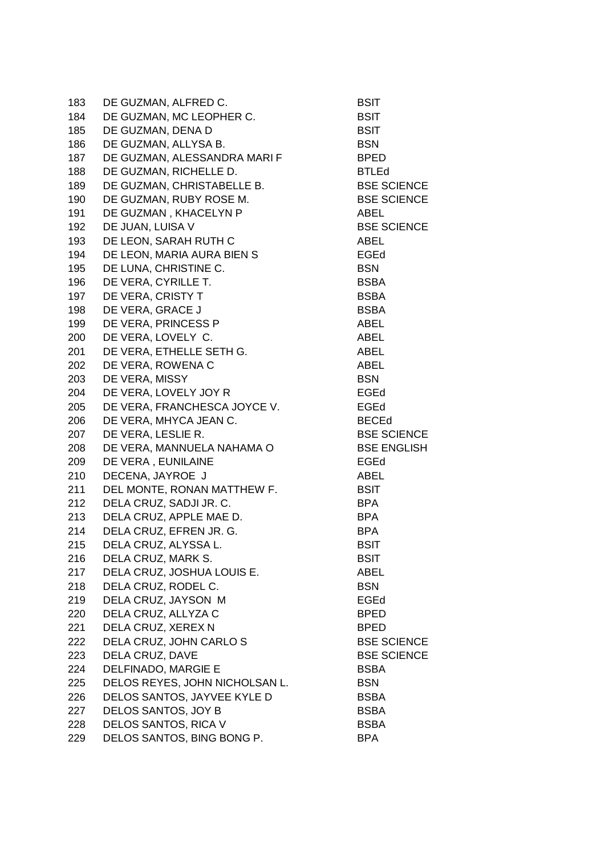| 183 | DE GUZMAN, ALFRED C.           | <b>BSIT</b>        |
|-----|--------------------------------|--------------------|
| 184 | DE GUZMAN, MC LEOPHER C.       | <b>BSIT</b>        |
| 185 | DE GUZMAN, DENA D              | <b>BSIT</b>        |
| 186 | DE GUZMAN, ALLYSA B.           | <b>BSN</b>         |
| 187 | DE GUZMAN, ALESSANDRA MARI F   | <b>BPED</b>        |
| 188 | DE GUZMAN, RICHELLE D.         | <b>BTLEd</b>       |
| 189 | DE GUZMAN, CHRISTABELLE B.     | <b>BSE SCIENCE</b> |
| 190 | DE GUZMAN, RUBY ROSE M.        | <b>BSE SCIENCE</b> |
| 191 | DE GUZMAN, KHACELYN P          | ABEL               |
| 192 | DE JUAN, LUISA V               | <b>BSE SCIENCE</b> |
| 193 | DE LEON, SARAH RUTH C          | ABEL               |
| 194 | DE LEON, MARIA AURA BIEN S     | EGEd               |
| 195 | DE LUNA, CHRISTINE C.          | <b>BSN</b>         |
| 196 | DE VERA, CYRILLE T.            | <b>BSBA</b>        |
| 197 | DE VERA, CRISTY T              | <b>BSBA</b>        |
| 198 | DE VERA, GRACE J               | <b>BSBA</b>        |
| 199 | DE VERA, PRINCESS P            | ABEL               |
| 200 | DE VERA, LOVELY C.             | ABEL               |
| 201 | DE VERA, ETHELLE SETH G.       | ABEL               |
| 202 | DE VERA, ROWENA C              | ABEL               |
| 203 | DE VERA, MISSY                 | <b>BSN</b>         |
| 204 | DE VERA, LOVELY JOY R          | EGEd               |
| 205 | DE VERA, FRANCHESCA JOYCE V.   | EGEd               |
| 206 | DE VERA, MHYCA JEAN C.         | <b>BECEd</b>       |
| 207 | DE VERA, LESLIE R.             | <b>BSE SCIENCE</b> |
| 208 | DE VERA, MANNUELA NAHAMA O     | <b>BSE ENGLISH</b> |
| 209 | DE VERA, EUNILAINE             | EGEd               |
| 210 | DECENA, JAYROE J               | ABEL               |
| 211 | DEL MONTE, RONAN MATTHEW F.    | <b>BSIT</b>        |
| 212 | DELA CRUZ, SADJI JR. C.        | BPA                |
| 213 | DELA CRUZ, APPLE MAE D.        | <b>BPA</b>         |
| 214 | DELA CRUZ, EFREN JR. G.        | <b>BPA</b>         |
| 215 | DELA CRUZ, ALYSSA L.           | <b>BSIT</b>        |
| 216 | DELA CRUZ, MARK S.             | <b>BSIT</b>        |
| 217 | DELA CRUZ, JOSHUA LOUIS E.     | ABEL               |
| 218 | DELA CRUZ, RODEL C.            | <b>BSN</b>         |
| 219 | DELA CRUZ, JAYSON M            | EGEd               |
| 220 | DELA CRUZ, ALLYZA C            | <b>BPED</b>        |
| 221 | DELA CRUZ, XEREX N             | <b>BPED</b>        |
| 222 | DELA CRUZ, JOHN CARLO S        | <b>BSE SCIENCE</b> |
| 223 | DELA CRUZ, DAVE                | <b>BSE SCIENCE</b> |
| 224 | DELFINADO, MARGIE E            | <b>BSBA</b>        |
| 225 | DELOS REYES, JOHN NICHOLSAN L. | <b>BSN</b>         |
| 226 | DELOS SANTOS, JAYVEE KYLE D    | <b>BSBA</b>        |
| 227 | DELOS SANTOS, JOY B            | <b>BSBA</b>        |
| 228 | DELOS SANTOS, RICA V           | <b>BSBA</b>        |
| 229 | DELOS SANTOS, BING BONG P.     | <b>BPA</b>         |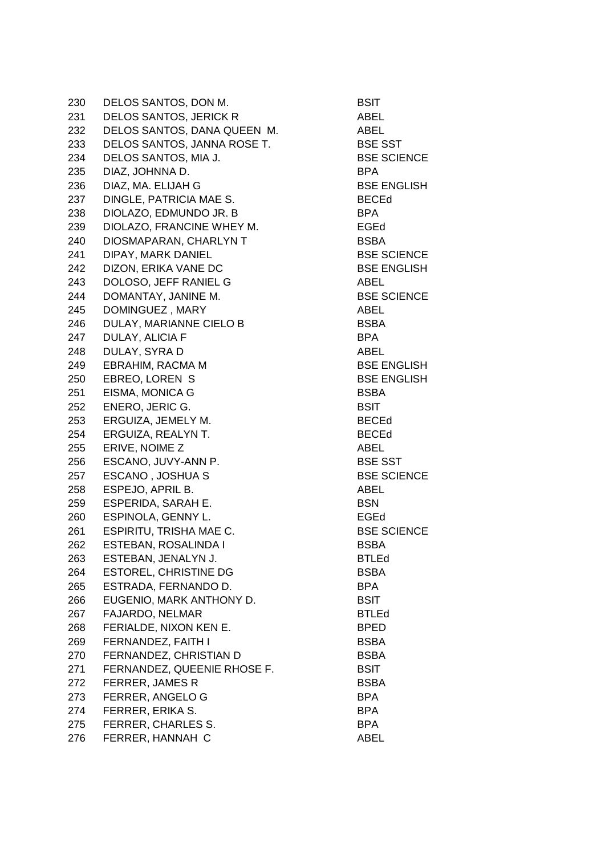230 DELOS SANTOS, DON M. BSIT 231 DELOS SANTOS, JERICK R<br>ABEL 232 DELOS SANTOS, DANA QUEEN M. ABEL 233 DELOS SANTOS, JANNA ROSE T. BSE SST 234 DELOS SANTOS, MIA J. BSE SCIENCE 235 DIAZ, JOHNNA D. BPA 236 DIAZ, MA. ELIJAH G BSE ENGLISH 237 DINGLE, PATRICIA MAE S. BECED 238 DIOLAZO, EDMUNDO JR. B BPA 239 DIOLAZO, FRANCINE WHEY M. FGED 240 DIOSMAPARAN, CHARLYN T BSBA 241 DIPAY, MARK DANIEL BSE SCIENCE 242 DIZON, ERIKA VANE DC BSE ENGLISH 243 DOLOSO, JEFF RANIEL G<br>
ABEL 244 DOMANTAY, JANINE M. BSE SCIENCE 245 DOMINGUEZ , MARY ABEL 246 DULAY, MARIANNE CIELO B BSBA 247 DULAY, ALICIA F BPA 248 DULAY, SYRA D ABEL 249 EBRAHIM, RACMA M BSE ENGLISH 250 EBREO, LOREN S BSE ENGLISH 251 EISMA, MONICA G BSBA 252 ENERO, JERIC G. BSIT 253 ERGUIZA, JEMELY M. BECEd 254 ERGUIZA, REALYN T. BECEd 255 ERIVE, NOIME Z ABEL 256 ESCANO, JUVY-ANN P. BSE SST 257 ESCANO , JOSHUA S BSE SCIENCE 258 ESPEJO, APRIL B. ABEL 259 ESPERIDA, SARAH E. BSN 260 ESPINOLA, GENNY L. Santa Contract en la establecidad de la estadunidad de la estadunidad de la estadunidad<br>Egeneración 261 ESPIRITU, TRISHA MAE C. BSE SCIENCE 262 ESTEBAN, ROSALINDA I BSBA 263 ESTEBAN, JENALYN J. PHILED BTLED 264 ESTOREL, CHRISTINE DG BSBA 265 ESTRADA, FERNANDO D. BPA 266 EUGENIO, MARK ANTHONY D. BSIT 267 FAJARDO, NELMAR BTLED 268 FERIALDE, NIXON KEN E. BPED 269 FERNANDEZ, FAITH I BSBA 270 FERNANDEZ, CHRISTIAN D BSBA 271 FERNANDEZ, QUEENIE RHOSE F. BSIT 272 FERRER, JAMES R BSBA 273 FERRER, ANGELO G BPA 274 FERRER, ERIKA S. BPA 275 FERRER, CHARLES S. BPA 276 FERRER, HANNAH C ABEL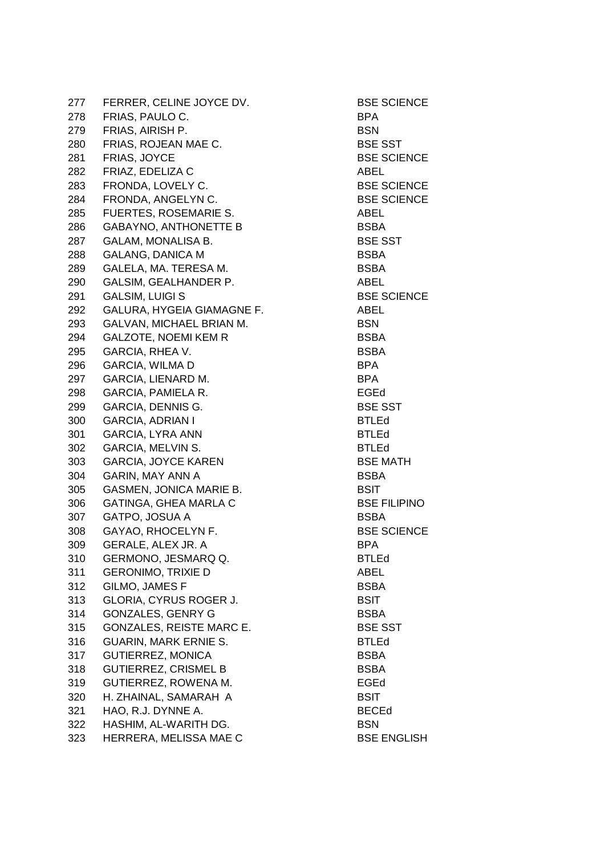277 FERRER, CELINE JOYCE DV. BSE SCIENCE 278 FRIAS, PAULO C. San Beau and the BPA 279 FRIAS, AIRISH P. BSN 280 FRIAS, ROJEAN MAE C. BSE SST 281 FRIAS, JOYCE BSE SCIENCE 282 FRIAZ, EDELIZA C<br>
ABEL 283 FRONDA, LOVELY C. BSE SCIENCE 284 FRONDA, ANGELYN C. BSE SCIENCE 285 FUERTES, ROSEMARIE S. ABEL 286 GABAYNO, ANTHONETTE B BSBA 287 GALAM, MONALISA B. BSE SST 288 GALANG, DANICA M BSBA 289 GALELA, MA. TERESA M. North March 289 BSBA 290 GALSIM, GEALHANDER P. ABEL 291 GALSIM, LUIGI S
BSE SCIENCE 292 GALURA, HYGEIA GIAMAGNE F. ABEL 293 GALVAN, MICHAEL BRIAN M. BSN 294 GALZOTE, NOEMI KEM R<br>BSBA 295 GARCIA, RHEA V. BSBA 296 GARCIA, WILMA D BPA 297 GARCIA, LIENARD M. BPA 298 GARCIA, PAMIELA R. EGEd 299 GARCIA, DENNIS G. BSE SST 300 GARCIA, ADRIAN I BTLED 301 GARCIA, LYRA ANN BTLED 302 GARCIA, MELVIN S. BTLED 303 GARCIA, JOYCE KAREN BSE MATH 304 GARIN, MAY ANN A BSBA 305 GASMEN, JONICA MARIE B. BSIT 306 GATINGA, GHEA MARLA C<br>BSE FILIPINO 307 GATPO, JOSUA A BSBA 308 GAYAO, RHOCELYN F. BSE SCIENCE 309 GERALE, ALEX JR. A BPA 310 GERMONO, JESMARQ Q. BTLED 311 GERONIMO, TRIXIE D<br>
ABEL 312 GILMO, JAMES F BSBA 313 GLORIA, CYRUS ROGER J. BSIT 314 GONZALES, GENRY G<br>BSBA 315 GONZALES, REISTE MARC E. BSE SST 316 GUARIN, MARK ERNIE S. BTLEd 317 GUTIERREZ, MONICA BSBA 318 GUTIERREZ, CRISMEL B BSBA 319 GUTIERREZ, ROWENA M. EGEd 320 H. ZHAINAL, SAMARAH A BSIT 321 HAO, R.J. DYNNE A. BECEd 322 HASHIM, AL-WARITH DG. BSN 323 HERRERA, MELISSA MAE C<br>BSE ENGLISH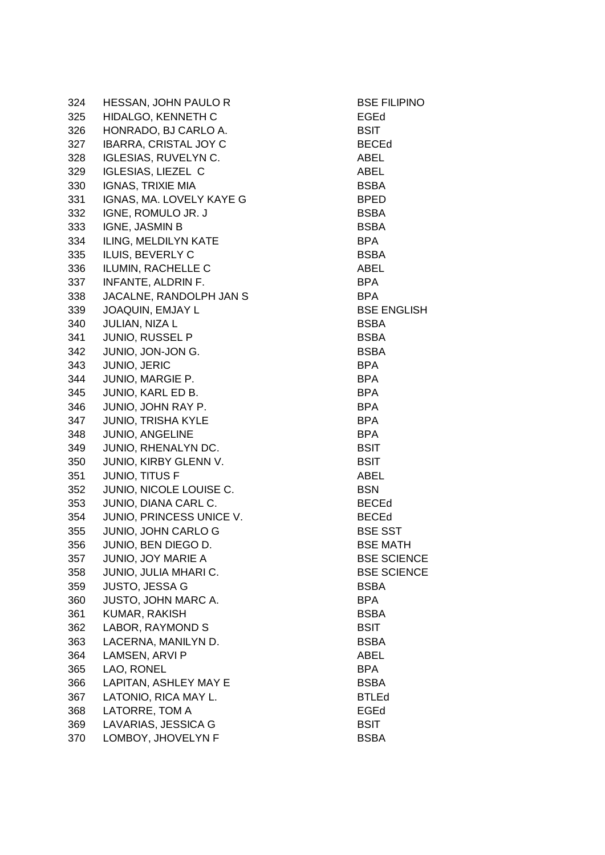| 324 | <b>HESSAN, JOHN PAULO R</b>  | <b>BSE FI</b> |
|-----|------------------------------|---------------|
| 325 | <b>HIDALGO, KENNETH C</b>    | EGEd          |
| 326 | HONRADO, BJ CARLO A.         | <b>BSIT</b>   |
| 327 | <b>IBARRA, CRISTAL JOY C</b> | <b>BECEd</b>  |
| 328 | <b>IGLESIAS, RUVELYN C.</b>  | ABEL          |
| 329 | <b>IGLESIAS, LIEZEL C</b>    | ABEL          |
| 330 | <b>IGNAS, TRIXIE MIA</b>     | <b>BSBA</b>   |
| 331 | IGNAS, MA. LOVELY KAYE G     | <b>BPED</b>   |
| 332 | IGNE, ROMULO JR. J           | <b>BSBA</b>   |
| 333 | IGNE, JASMIN B               | <b>BSBA</b>   |
| 334 | <b>ILING, MELDILYN KATE</b>  | <b>BPA</b>    |
| 335 | <b>ILUIS, BEVERLY C</b>      | <b>BSBA</b>   |
| 336 | ILUMIN, RACHELLE C           | ABEL          |
| 337 | <b>INFANTE, ALDRIN F.</b>    | BPA           |
| 338 | JACALNE, RANDOLPH JAN S      | <b>BPA</b>    |
| 339 | <b>JOAQUIN, EMJAY L</b>      | <b>BSE EN</b> |
| 340 | JULIAN, NIZA L               | <b>BSBA</b>   |
| 341 | <b>JUNIO, RUSSEL P</b>       | <b>BSBA</b>   |
| 342 | JUNIO, JON-JON G.            | <b>BSBA</b>   |
| 343 | JUNIO, JERIC                 | <b>BPA</b>    |
| 344 | JUNIO, MARGIE P.             | BPA           |
| 345 | JUNIO, KARL ED B.            | BPA           |
| 346 | JUNIO, JOHN RAY P.           | BPA           |
| 347 | <b>JUNIO, TRISHA KYLE</b>    | BPA           |
| 348 | JUNIO, ANGELINE              | BPA           |
| 349 | JUNIO, RHENALYN DC.          | <b>BSIT</b>   |
| 350 | JUNIO, KIRBY GLENN V.        | <b>BSIT</b>   |
| 351 | JUNIO, TITUS F               | ABEL          |
| 352 | JUNIO, NICOLE LOUISE C.      | <b>BSN</b>    |
| 353 | JUNIO, DIANA CARL C.         | <b>BECEd</b>  |
| 354 | JUNIO, PRINCESS UNICE V.     | <b>BECEd</b>  |
| 355 | <b>JUNIO, JOHN CARLO G</b>   | <b>BSE SS</b> |
| 356 | JUNIO, BEN DIEGO D.          | <b>BSEM</b>   |
| 357 | JUNIO, JOY MARIE A           | <b>BSE SO</b> |
| 358 | JUNIO, JULIA MHARI C.        | <b>BSE SO</b> |
| 359 | <b>JUSTO, JESSA G</b>        | BSBA          |
| 360 | <b>JUSTO, JOHN MARC A.</b>   | <b>BPA</b>    |
| 361 | <b>KUMAR, RAKISH</b>         | <b>BSBA</b>   |
| 362 | LABOR, RAYMOND S             | <b>BSIT</b>   |
| 363 | LACERNA, MANILYN D.          | <b>BSBA</b>   |
| 364 | LAMSEN, ARVI P               | ABEL          |
| 365 | LAO, RONEL                   | <b>BPA</b>    |
| 366 | LAPITAN, ASHLEY MAY E        | <b>BSBA</b>   |
| 367 | LATONIO, RICA MAY L.         | <b>BTLEd</b>  |
| 368 | LATORRE, TOM A               | EGEd          |
| 369 | LAVARIAS, JESSICA G          | BSIT          |
| 370 | LOMBOY, JHOVELYN F           | <b>BSBA</b>   |

**BSE FILIPINO** BECEd **BSE ENGLISH** BECEd **BSE SST BSE MATH BSE SCIENCE BSE SCIENCE**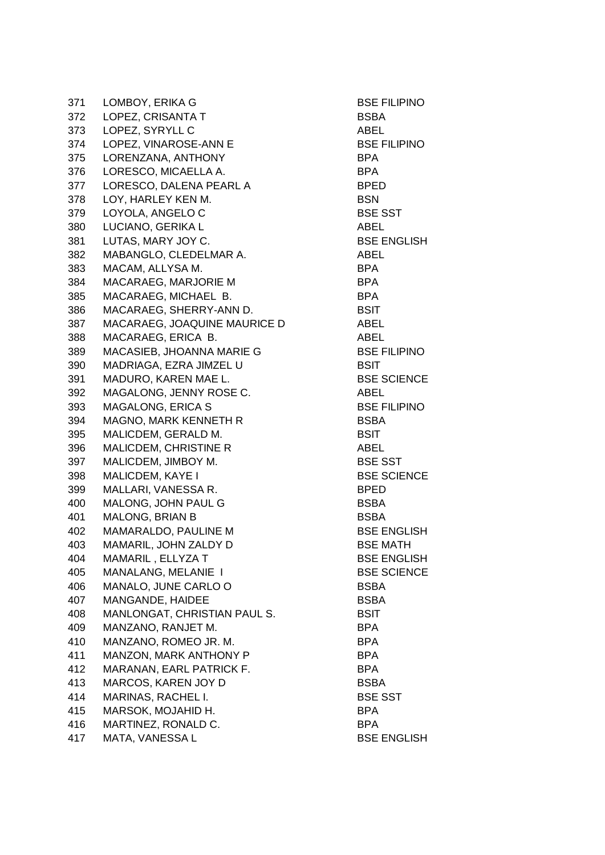371 LOMBOY, ERIKA G BSE FILIPINO 372 LOPEZ, CRISANTA T BSBA 373 LOPEZ, SYRYLL C ABEL 374 LOPEZ, VINAROSE-ANN E BSE FILIPINO 375 LORENZANA, ANTHONY BPA 376 LORESCO, MICAELLA A. BPA 377 LORESCO, DALENA PEARL A BPED 378 LOY, HARLEY KEN M. BSN 379 LOYOLA, ANGELO C BSE SST 380 LUCIANO, GERIKA L<br>ABEL 381 LUTAS, MARY JOY C. BSE ENGLISH 382 MABANGLO, CLEDELMAR A. ABEL 383 MACAM, ALLYSA M. BPA 384 MACARAEG, MARJORIE M BPA 385 MACARAEG, MICHAEL B. BPA 386 MACARAEG, SHERRY-ANN D. BSIT 387 MACARAEG, JOAQUINE MAURICE D ABEL 388 MACARAEG, ERICA B. ABEL 389 MACASIEB, JHOANNA MARIE G<br>BSE FILIPINO 390 MADRIAGA, EZRA JIMZEL U BSIT 391 MADURO, KAREN MAE L. BSE SCIENCE 392 MAGALONG, JENNY ROSE C. ABEL 393 MAGALONG, ERICA S BSE FILIPINO 394 MAGNO, MARK KENNETH R<br>BSBA 395 MALICDEM, GERALD M. BSIT 396 MALICDEM, CHRISTINE R<br>ABEL 397 MALICDEM, JIMBOY M. BSE SST 398 MALICDEM, KAYE I BSE SCIENCE 399 MALLARI, VANESSA R. BPED 400 MALONG, JOHN PAUL G BSBA 401 MALONG, BRIAN B BSBA 402 MAMARALDO, PAULINE M BSE ENGLISH 403 MAMARIL, JOHN ZALDY D<br>BSE MATH 404 MAMARIL , ELLYZA T BSE ENGLISH 405 MANALANG, MELANIE I BSE SCIENCE 406 MANALO, JUNE CARLO O BSBA 407 MANGANDE, HAIDEE BSBA 408 MANLONGAT, CHRISTIAN PAUL S. BSIT 409 MANZANO, RANJET M. BPA 410 MANZANO, ROMEO JR. M. BPA 411 MANZON, MARK ANTHONY P BPA 412 MARANAN, EARL PATRICK F. BPA 413 MARCOS, KAREN JOY D BSBA 414 MARINAS, RACHEL I. BSE SST 415 MARSOK, MOJAHID H. BPA 416 MARTINEZ, RONALD C. BPA 417 MATA, VANESSA L BSE ENGLISH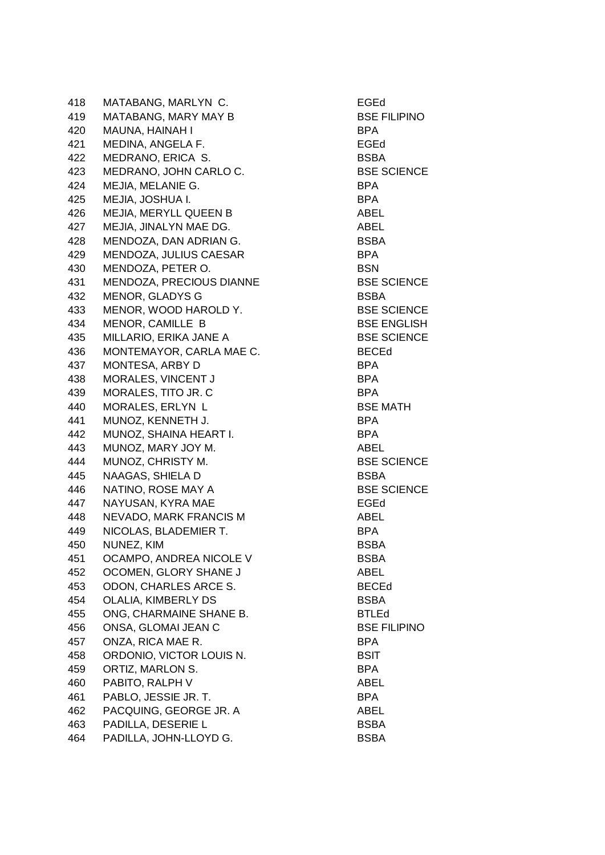418 MATABANG, MARLYN C. EGEd 419 MATABANG, MARY MAY B BSE FILIPINO 420 MAUNA, HAINAH I BPA 421 MEDINA, ANGELA F. New York and Search and Search and Search and Search and Search and Search and Search and 422 MEDRANO, ERICA S. BSBA 423 MEDRANO, JOHN CARLO C. BSE SCIENCE 424 MEJIA, MELANIE G. BPA 425 MEJIA, JOSHUA I. BPA 426 MEJIA, MERYLL QUEEN B ABEL 427 MEJIA, JINALYN MAE DG. ABEL 428 MENDOZA, DAN ADRIAN G. BSBA 429 MENDOZA, JULIUS CAESAR BPA 430 MENDOZA, PETER O. BSN 431 MENDOZA, PRECIOUS DIANNE BSE SCIENCE 432 MENOR, GLADYS G BSBA 433 MENOR, WOOD HAROLD Y. BSE SCIENCE 434 MENOR, CAMILLE B BSE ENGLISH 435 MILLARIO, ERIKA JANE A BSE SCIENCE 436 MONTEMAYOR, CARLA MAE C. BECEd 437 MONTESA, ARBY D BPA 438 MORALES, VINCENT JANNA SERANG BPA 439 MORALES, TITO JR. C BPA 440 MORALES, ERLYN L<br>BSE MATH 441 MUNOZ, KENNETH J. BPA 442 MUNOZ, SHAINA HEART I. SAN BEART I. 443 MUNOZ, MARY JOY M. ABEL 444 MUNOZ, CHRISTY M. BSE SCIENCE 445 NAAGAS, SHIELA D BSBA 446 NATINO, ROSE MAY A BSE SCIENCE 447 NAYUSAN, KYRA MAE EGEd 448 NEVADO, MARK FRANCIS M<br>ABEL 449 NICOLAS, BLADEMIER T. BPA 450 NUNEZ, KIM BSBA 451 OCAMPO, ANDREA NICOLE V BSBA 452 OCOMEN, GLORY SHANE J ABEL 453 ODON, CHARLES ARCE S. BECEd 454 OLALIA, KIMBERLY DS<br>BSBA 455 ONG, CHARMAINE SHANE B. BTLEd 456 ONSA, GLOMAI JEAN C<br>BSE FILIPINO 457 ONZA, RICA MAE R. BPA 458 ORDONIO, VICTOR LOUIS N. BSIT 459 ORTIZ, MARLON S. BPA 460 PABITO, RALPH V ABEL 461 PABLO, JESSIE JR. T. BPA 462 PACQUING, GEORGE JR. A ABEL 463 PADILLA, DESERIE L<br>BSBA 464 PADILLA, JOHN-LLOYD G. BSBA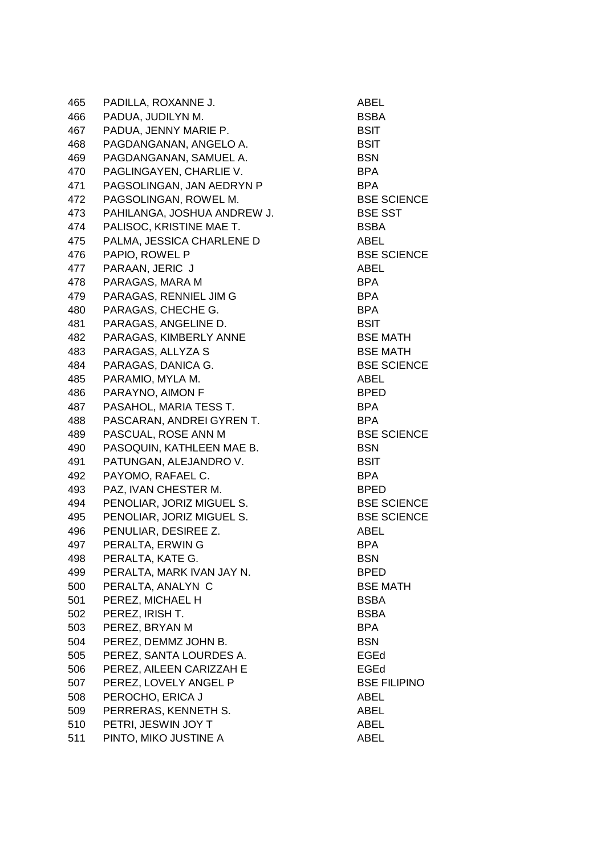465 PADILLA, ROXANNE J. ABEL 466 PADUA, JUDILYN M. SAN BORA AND BORA 467 PADUA, JENNY MARIE P. BSIT 468 PAGDANGANAN, ANGELO A. BSIT 469 PAGDANGANAN, SAMUEL A. BSN 470 PAGLINGAYEN, CHARLIE V. BPA 471 PAGSOLINGAN, JAN AEDRYN P BPA 472 PAGSOLINGAN, ROWEL M. BSE SCIENCE 473 PAHILANGA, JOSHUA ANDREW J. BSE SST 474 PALISOC, KRISTINE MAE T. BSBA 475 PALMA, JESSICA CHARLENE D ABEL 476 PAPIO, ROWEL P BSE SCIENCE 477 PARAAN, JERIC J ABEL 478 PARAGAS, MARA M BPA 479 PARAGAS, RENNIEL JIM G<br>BPA 480 PARAGAS, CHECHE G. BPA 481 PARAGAS, ANGELINE D. BSIT 482 PARAGAS, KIMBERLY ANNE BSE MATH 483 PARAGAS, ALLYZA S
BSE MATH 484 PARAGAS, DANICA G. BSE SCIENCE 485 PARAMIO, MYLA M. ABEL 486 PARAYNO, AIMON F BPED 487 PASAHOL, MARIA TESS T. SAN BRANG BPA 488 PASCARAN, ANDREI GYREN T. BPA 489 PASCUAL, ROSE ANN M BSE SCIENCE 490 PASOQUIN, KATHLEEN MAE B. BSN 491 PATUNGAN, ALEJANDRO V. BSIT 492 PAYOMO, RAFAEL C. BPA 493 PAZ, IVAN CHESTER M. BPED 494 PENOLIAR, JORIZ MIGUEL S. BSE SCIENCE 495 PENOLIAR, JORIZ MIGUEL S. BSE SCIENCE 496 PENULIAR, DESIREE Z. ABEL 497 PERALTA, ERWIN G BPA 498 PERALTA, KATE G. SAN BERALTA AND ESSN 499 PERALTA, MARK IVAN JAY N. BPED 500 PERALTA, ANALYN C BSE MATH 501 PEREZ, MICHAEL H BSBA 502 PEREZ, IRISH T. BSBA 503 PEREZ, BRYAN M BPA 504 PEREZ, DEMMZ JOHN B. BSN 505 PEREZ, SANTA LOURDES A. EGEd 506 PEREZ, AILEEN CARIZZAH E EGED EGED 507 PEREZ, LOVELY ANGEL P BSE FILIPINO 508 PEROCHO, ERICA J ABEL 509 PERRERAS, KENNETH S. ABEL 510 PETRI, JESWIN JOY T ABEL 511 PINTO, MIKO JUSTINE A ABEL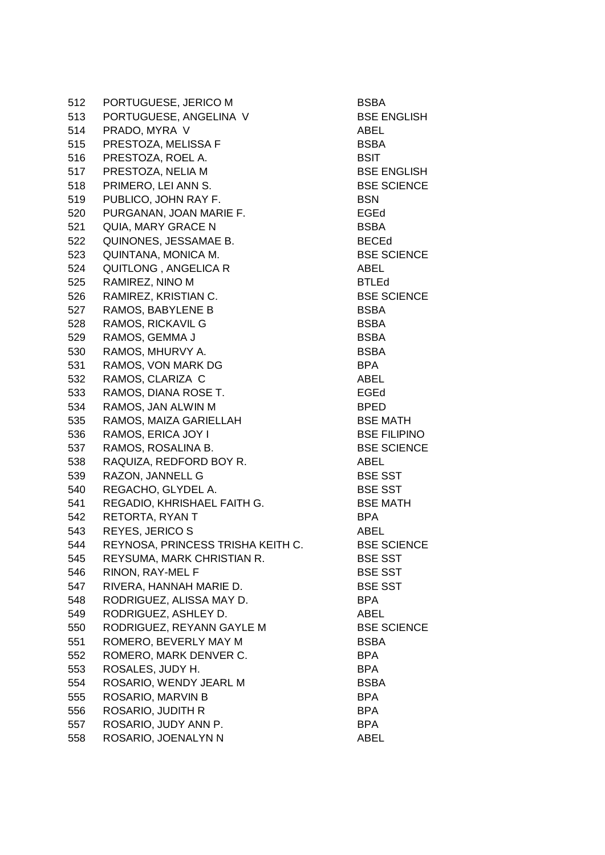512 PORTUGUESE, JERICO M BSBA 513 PORTUGUESE, ANGELINA V BSE ENGLISH 514 PRADO, MYRA V ABEL 515 PRESTOZA, MELISSA F BSBA 516 PRESTOZA, ROEL A. BSIT 517 PRESTOZA, NELIA M BSE ENGLISH 518 PRIMERO, LEI ANN S. BSE SCIENCE 519 PUBLICO, JOHN RAY F. BSN 520 PURGANAN, JOAN MARIE F. SAND SEGED EGED 521 QUIA, MARY GRACE N BSBA 522 QUINONES, JESSAMAE B. BECED 523 QUINTANA, MONICA M. BSE SCIENCE 524 QUITLONG, ANGELICA R ABEL 525 RAMIREZ, NINO M BTLED 526 RAMIREZ, KRISTIAN C. BSE SCIENCE 527 RAMOS, BABYLENE B BSBA 528 RAMOS, RICKAVIL G BSBA 529 RAMOS, GEMMA J BSBA 530 RAMOS, MHURVY A. BSBA 531 RAMOS, VON MARK DG BPA 532 RAMOS, CLARIZA C ABEL 533 RAMOS, DIANA ROSE T. Sand Contract Contract Contract Contract Contract Contract Contract Contract Contract Contract Contract Contract Contract Contract Contract Contract Contract Contract Contract Contract Contract Con 534 RAMOS, JAN ALWIN M BPED 535 RAMOS, MAIZA GARIELLAH BSE MATH 536 RAMOS, ERICA JOY I BSE FILIPINO 537 RAMOS, ROSALINA B. BSE SCIENCE 538 RAQUIZA, REDFORD BOY R. ABEL 539 RAZON, JANNELL G BSE SST 540 REGACHO, GLYDEL A. BSE SST 541 REGADIO, KHRISHAEL FAITH G. BSE MATH 542 RETORTA, RYAN T BPA 543 REYES, JERICO S ABEL 544 REYNOSA, PRINCESS TRISHA KEITH C. BSE SCIENCE 545 REYSUMA, MARK CHRISTIAN R. BSE SST 546 RINON, RAY-MEL F BSE SST 547 RIVERA, HANNAH MARIE D. BSE SST 548 RODRIGUEZ, ALISSA MAY D. BPA 549 RODRIGUEZ, ASHLEY D. ABEL 550 RODRIGUEZ, REYANN GAYLE M BSE SCIENCE 551 ROMERO, BEVERLY MAY M BSBA 552 ROMERO, MARK DENVER C. BPA 553 ROSALES, JUDY H. BPA 554 ROSARIO, WENDY JEARL M BSBA 555 ROSARIO, MARVIN B BPA 556 ROSARIO, JUDITH R BPA 557 ROSARIO, JUDY ANN P. BPA 558 ROSARIO, JOENALYN N ABEL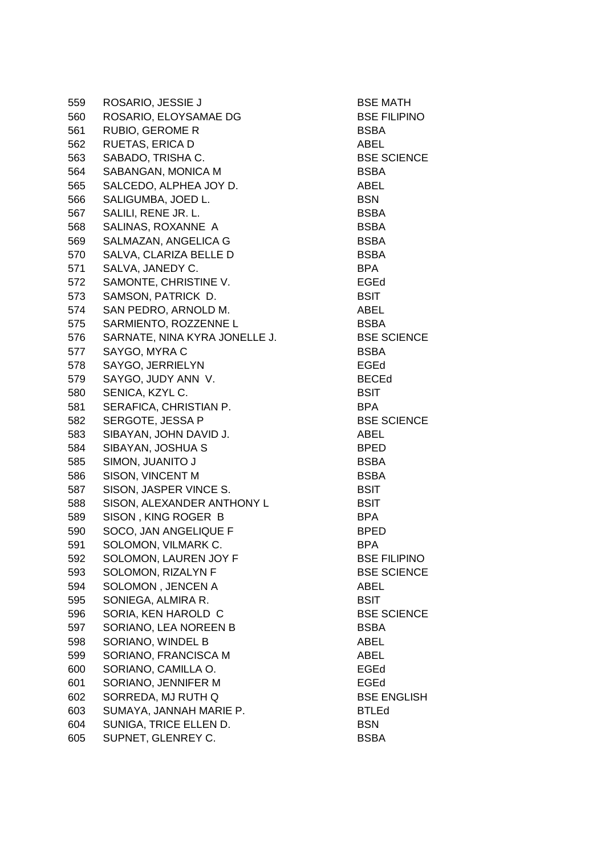559 ROSARIO, JESSIE J BSE MATH 560 ROSARIO, ELOYSAMAE DG BSE FILIPINO 561 RUBIO, GEROME R BSBA 562 RUETAS, ERICA D ABEL 563 SABADO, TRISHA C. BSE SCIENCE 564 SABANGAN, MONICA M BSBA 565 SALCEDO, ALPHEA JOY D. ABEL 566 SALIGUMBA, JOED L. BSN 567 SALILI, RENE JR. L. BSBA 568 SALINAS, ROXANNE A BSBA 569 SALMAZAN, ANGELICA G BSBA 570 SALVA, CLARIZA BELLE D<br>BSBA 571 SALVA, JANEDY C. BPA 572 SAMONTE, CHRISTINE V. EGEd 573 SAMSON, PATRICK D. BSIT 574 SAN PEDRO, ARNOLD M. ABEL 575 SARMIENTO, ROZZENNE L<br>BSBA 576 SARNATE, NINA KYRA JONELLE J. BSE SCIENCE 577 SAYGO, MYRA C BSBA 578 SAYGO, JERRIELYN EGEd 579 SAYGO, JUDY ANN V. BECEd 580 SENICA, KZYL C. BSIT 581 SERAFICA, CHRISTIAN P. BPA 582 SERGOTE, JESSA P BSE SCIENCE 583 SIBAYAN, JOHN DAVID J. ABEL 584 SIBAYAN, JOSHUA S BPED 585 SIMON, JUANITO J BSBA 586 SISON, VINCENT M BSBA 587 SISON, JASPER VINCE S. BSIT 588 SISON, ALEXANDER ANTHONY L<br>BSIT 589 SISON, KING ROGER B BPA 590 SOCO, JAN ANGELIQUE F BPED 591 SOLOMON, VILMARK C. BPA 592 SOLOMON, LAUREN JOY F BSE FILIPINO 593 SOLOMON, RIZALYN F BSE SCIENCE 594 SOLOMON , JENCEN A ABEL 595 SONIEGA, ALMIRA R. BSIT 596 SORIA, KEN HAROLD C BSE SCIENCE 597 SORIANO, LEA NOREEN B BSBA 598 SORIANO, WINDEL B ABEL 599 SORIANO, FRANCISCA M ABEL 600 SORIANO, CAMILLA O. EGEd 601 SORIANO, JENNIFER M EGEd 602 SORREDA, MJ RUTH Q<br>BSE ENGLISH 603 SUMAYA, JANNAH MARIE P. BTLED 604 SUNIGA, TRICE ELLEN D. BSN 605 SUPNET, GLENREY C. BSBA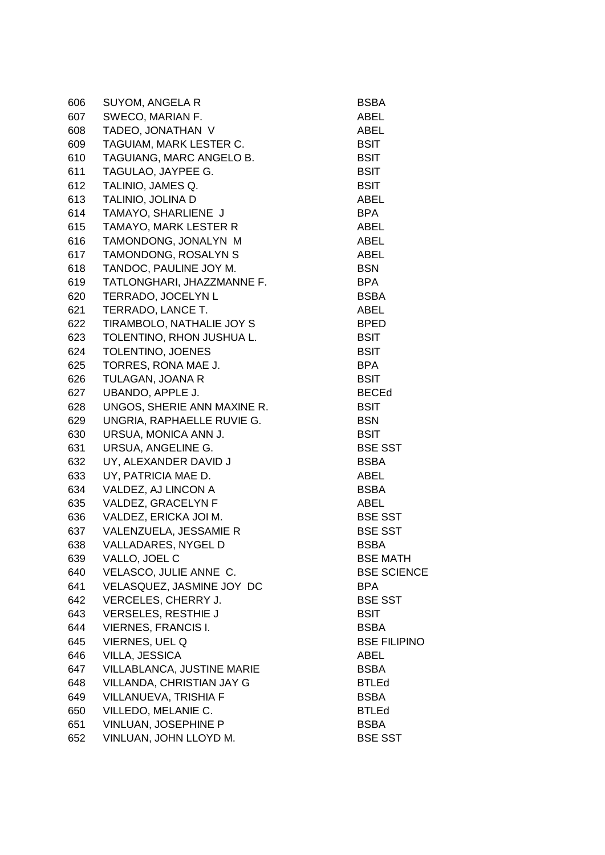| 606 | <b>SUYOM, ANGELA R</b>            | <b>BSBA</b>         |
|-----|-----------------------------------|---------------------|
| 607 | SWECO, MARIAN F.                  | ABEL                |
| 608 | TADEO, JONATHAN V                 | ABEL                |
| 609 | TAGUIAM, MARK LESTER C.           | <b>BSIT</b>         |
| 610 | TAGUIANG, MARC ANGELO B.          | <b>BSIT</b>         |
| 611 | TAGULAO, JAYPEE G.                | <b>BSIT</b>         |
| 612 | TALINIO, JAMES Q.                 | <b>BSIT</b>         |
| 613 | TALINIO, JOLINA D                 | ABEL                |
| 614 | TAMAYO, SHARLIENE J               | <b>BPA</b>          |
| 615 | <b>TAMAYO, MARK LESTER R</b>      | ABEL                |
| 616 | TAMONDONG, JONALYN M              | ABEL                |
| 617 | TAMONDONG, ROSALYN S              | ABEL                |
| 618 | TANDOC, PAULINE JOY M.            | <b>BSN</b>          |
| 619 | TATLONGHARI, JHAZZMANNE F.        | <b>BPA</b>          |
| 620 | TERRADO, JOCELYN L                | <b>BSBA</b>         |
| 621 | TERRADO, LANCE T.                 | ABEL                |
| 622 | TIRAMBOLO, NATHALIE JOY S         | <b>BPED</b>         |
| 623 | TOLENTINO, RHON JUSHUA L.         | <b>BSIT</b>         |
| 624 | TOLENTINO, JOENES                 | <b>BSIT</b>         |
| 625 | TORRES, RONA MAE J.               | <b>BPA</b>          |
| 626 | TULAGAN, JOANA R                  | <b>BSIT</b>         |
| 627 | UBANDO, APPLE J.                  | <b>BECEd</b>        |
| 628 | UNGOS, SHERIE ANN MAXINE R.       | <b>BSIT</b>         |
| 629 | UNGRIA, RAPHAELLE RUVIE G.        | <b>BSN</b>          |
| 630 | URSUA, MONICA ANN J.              | <b>BSIT</b>         |
| 631 | URSUA, ANGELINE G.                | <b>BSE SST</b>      |
| 632 | UY, ALEXANDER DAVID J             | <b>BSBA</b>         |
| 633 | UY, PATRICIA MAE D.               | ABEL                |
| 634 | VALDEZ, AJ LINCON A               | <b>BSBA</b>         |
| 635 | VALDEZ, GRACELYN F                | ABEL                |
| 636 | VALDEZ, ERICKA JOI M.             | <b>BSE SST</b>      |
| 637 | VALENZUELA, JESSAMIE R            | <b>BSE SST</b>      |
| 638 | VALLADARES, NYGEL D               | <b>BSBA</b>         |
| 639 | VALLO, JOEL C                     | <b>BSE MATH</b>     |
| 640 | VELASCO, JULIE ANNE C.            | <b>BSE SCIENCE</b>  |
| 641 | VELASQUEZ, JASMINE JOY DC         | <b>BPA</b>          |
| 642 | VERCELES, CHERRY J.               | <b>BSE SST</b>      |
| 643 | <b>VERSELES, RESTHIE J</b>        | <b>BSIT</b>         |
| 644 | <b>VIERNES, FRANCIS I.</b>        | <b>BSBA</b>         |
| 645 | VIERNES, UEL Q                    | <b>BSE FILIPINO</b> |
| 646 | <b>VILLA, JESSICA</b>             | ABEL                |
| 647 | <b>VILLABLANCA, JUSTINE MARIE</b> | <b>BSBA</b>         |
| 648 | VILLANDA, CHRISTIAN JAY G         | <b>BTLEd</b>        |
| 649 | VILLANUEVA, TRISHIA F             | <b>BSBA</b>         |
| 650 | VILLEDO, MELANIE C.               | <b>BTLEd</b>        |
| 651 | VINLUAN, JOSEPHINE P              | <b>BSBA</b>         |
| 652 | VINLUAN, JOHN LLOYD M.            | <b>BSE SST</b>      |